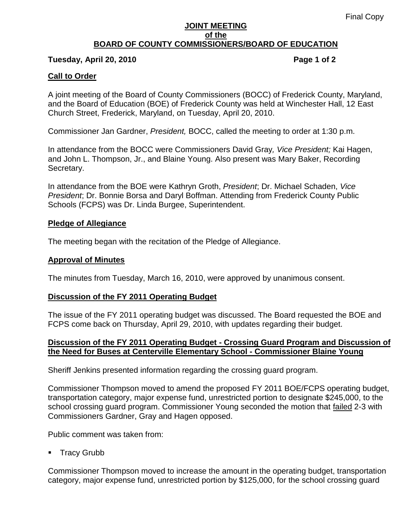#### **JOINT MEETING of the BOARD OF COUNTY COMMISSIONERS/BOARD OF EDUCATION**

### **Tuesday, April 20, 2010 Page 1 of 2**

## **Call to Order**

A joint meeting of the Board of County Commissioners (BOCC) of Frederick County, Maryland, and the Board of Education (BOE) of Frederick County was held at Winchester Hall, 12 East Church Street, Frederick, Maryland, on Tuesday, April 20, 2010.

Commissioner Jan Gardner, *President,* BOCC, called the meeting to order at 1:30 p.m.

In attendance from the BOCC were Commissioners David Gray*, Vice President;* Kai Hagen, and John L. Thompson, Jr., and Blaine Young. Also present was Mary Baker, Recording Secretary.

In attendance from the BOE were Kathryn Groth, *President*; Dr. Michael Schaden, *Vice President*; Dr. Bonnie Borsa and Daryl Boffman. Attending from Frederick County Public Schools (FCPS) was Dr. Linda Burgee, Superintendent.

### **Pledge of Allegiance**

The meeting began with the recitation of the Pledge of Allegiance.

## **Approval of Minutes**

The minutes from Tuesday, March 16, 2010, were approved by unanimous consent.

### **Discussion of the FY 2011 Operating Budget**

The issue of the FY 2011 operating budget was discussed. The Board requested the BOE and FCPS come back on Thursday, April 29, 2010, with updates regarding their budget.

## **Discussion of the FY 2011 Operating Budget - Crossing Guard Program and Discussion of the Need for Buses at Centerville Elementary School - Commissioner Blaine Young**

Sheriff Jenkins presented information regarding the crossing guard program.

Commissioner Thompson moved to amend the proposed FY 2011 BOE/FCPS operating budget, transportation category, major expense fund, unrestricted portion to designate \$245,000, to the school crossing guard program. Commissioner Young seconded the motion that failed 2-3 with Commissioners Gardner, Gray and Hagen opposed.

Public comment was taken from:

**Tracy Grubb** 

Commissioner Thompson moved to increase the amount in the operating budget, transportation category, major expense fund, unrestricted portion by \$125,000, for the school crossing guard